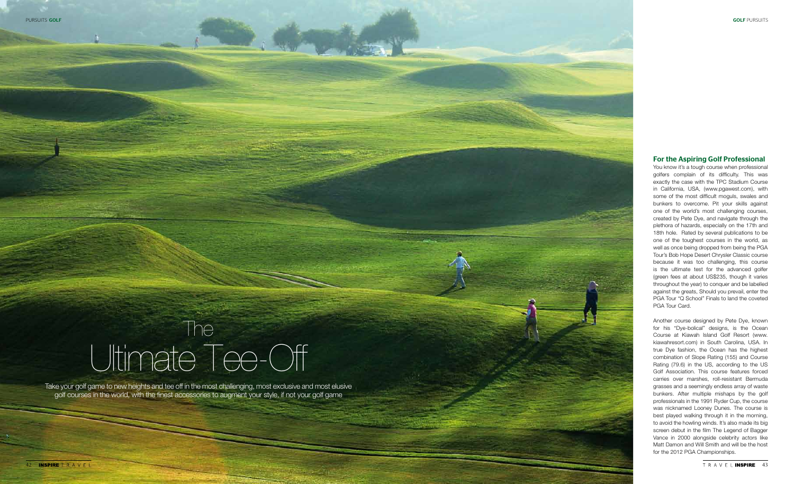Take your golf game to new heights and tee off in the most challenging, most exclusive and most elusive golf courses in the world, with the finest accessories to augment your style, if not your golf game

# Ultimate Tee-Off The

## For the Aspiring Golf Professional

You know it's a tough course when professional golfers complain of its difficulty. This was exactly the case with the TPC Stadium Course in California, USA, (www.pgawest.com), with some of the most difficult moguls, swales and bunkers to overcome. Pit your skills against one of the world's most challenging courses, created by Pete Dye, and navigate through the plethora of hazards, especially on the 17th and 18th hole. Rated by several publications to be one of the toughest courses in the world, as well as once being dropped from being the PGA Tour's Bob Hope Desert Chrysler Classic course because it was too challenging, this course is the ultimate test for the advanced golfer (green fees at about US\$235, though it varies throughout the year) to conquer and be labelled against the greats, Should you prevail, enter the PGA Tour "Q School" Finals to land the coveted PGA Tour Card.

Another course designed by Pete Dye, known for his "Dye-bolical" designs, is the Ocean Course at Kiawah Island Golf Resort (www. kiawahresort.com) in South Carolina, USA. In true Dye fashion, the Ocean has the highest combination of Slope Rating (155) and Course Rating (79.6) in the US, according to the US Golf Association. This course features forced carries over marshes, roll-resistant Bermuda grasses and a seemingly endless array of waste bunkers. After multiple mishaps by the golf professionals in the 1991 Ryder Cup, the course was nicknamed Looney Dunes. The course is best played walking through it in the morning, to avoid the howling winds. It's also made its big screen debut in the film The Legend of Bagger Vance in 2000 alongside celebrity actors like Matt Damon and Will Smith and will be the host for the 2012 PGA Championships.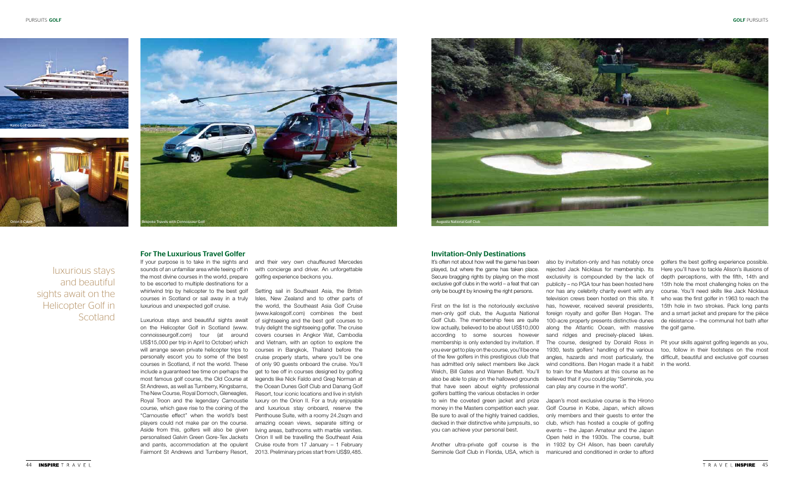#### For The Luxurious Travel Golfer

sounds of an unfamiliar area while teeing off in the most divine courses in the world, prepare to be escorted to multiple destinations for a whirlwind trip by helicopter to the best golf courses in Scotland or sail away in a truly luxurious and unexpected golf cruise.

If your purpose is to take in the sights and and their very own chauffeured Mercedes with concierge and driver. An unforgettable golfing experience beckons you.

luxurious stays and beautiful sights await on the Helicopter Golf in **Scotland** 

Luxurious stays and beautiful sights await of sightseeing and the best golf courses to Setting sail in Southeast Asia, the British Isles, New Zealand and to other parts of the world, the Southeast Asia Golf Cruise (www.kalosgolf.com) combines the best truly delight the sightseeing golfer. The cruise covers courses in Angkor Wat, Cambodia and Vietnam, with an option to explore the courses in Bangkok, Thailand before the cruise properly starts, where you'll be one of only 90 guests onboard the cruise. You'll get to tee off in courses designed by golfing legends like Nick Faldo and Greg Norman at the Ocean Dunes Golf Club and Danang Golf Resort, tour iconic locations and live in stylish luxury on the Orion II. For a truly enjoyable and luxurious stay onboard, reserve the Penthouse Suite, with a roomy 24.2sqm and amazing ocean views, separate sitting or living areas, bathrooms with marble vanities. Orion II will be travelling the Southeast Asia Cruise route from 17 January – 1 February

on the Helicopter Golf in Scotland (www. connoisseurgolf.com) tour (at around US\$15,000 per trip in April to October) which will arrange seven private helicopter trips to personally escort you to some of the best courses in Scotland, if not the world. These include a guaranteed tee time on perhaps the most famous golf course, the Old Course at St Andrews, as well as Turnberry, Kingsbarns, The New Course, Royal Dornoch, Gleneagles, Royal Troon and the legendary Carnoustie course, which gave rise to the coining of the "Carnoustie effect" when the world's best players could not make par on the course. Aside from this, golfers will also be given personalised Galvin Green Gore-Tex Jackets and pants, accommodation at the opulent Fairmont St Andrews and Turnberry Resort, 2013. Preliminary prices start from US\$9,485. golfers the best golfing experience possible. Here you'll have to tackle Alison's illusions of depth perceptions, with the fifth, 14th and 15th hole the most challenging holes on the course. You'll need skills like Jack Nicklaus who was the first golfer in 1963 to reach the 15th hole in two strokes. Pack long pants and a smart jacket and prepare for the pièce de résistance – the communal hot bath after the golf game.







#### Invitation-Only Destinations

It's often not about how well the game has been played, but where the game has taken place. Secure bragging rights by playing on the most exclusive golf clubs in the world – a feat that can only be bought by knowing the right persons.

First on the list is the notoriously exclusive men-only golf club, the Augusta National Golf Club. The membership fees are quite low actually, believed to be about US\$10,000 according to some sources however membership is only extended by invitation. If you ever get to play on the course, you'll be one of the few golfers in this prestigious club that has admitted only select members like Jack Welch, Bill Gates and Warren Buffett. You'll also be able to play on the hallowed grounds that have seen about eighty professional golfers battling the various obstacles in order to win the coveted green jacket and prize money in the Masters competition each year. Be sure to avail of the highly trained caddies, decked in their distinctive white jumpsuits, so you can achieve your personal best.

Pit your skills against golfing legends as you, too, follow in their footsteps on the most difficult, beautiful and exclusive golf courses in the world.

Another ultra-private golf course is the in 1932 by CH Alison, has been carefully Seminole Golf Club in Florida, USA, which is Japan's most exclusive course is the Hirono Golf Course in Kobe, Japan, which allows only members and their guests to enter the club, which has hosted a couple of golfing events – the Japan Amateur and the Japan Open held in the 1930s. The course, built manicured and conditioned in order to afford

also by invitation-only and has notably once rejected Jack Nicklaus for membership. Its exclusivity is compounded by the lack of publicity – no PGA tour has been hosted here nor has any celebrity charity event with any television crews been hosted on this site. It has, however, received several presidents, foreign royalty and golfer Ben Hogan. The 100-acre property presents distinctive dunes along the Atlantic Ocean, with massive sand ridges and precisely-placed lakes. The course, designed by Donald Ross in 1930, tests golfers' handling of the various angles, hazards and most particularly, the wind conditions. Ben Hogan made it a habit to train for the Masters at this course as he believed that if you could play "Seminole, you can play any course in the world".